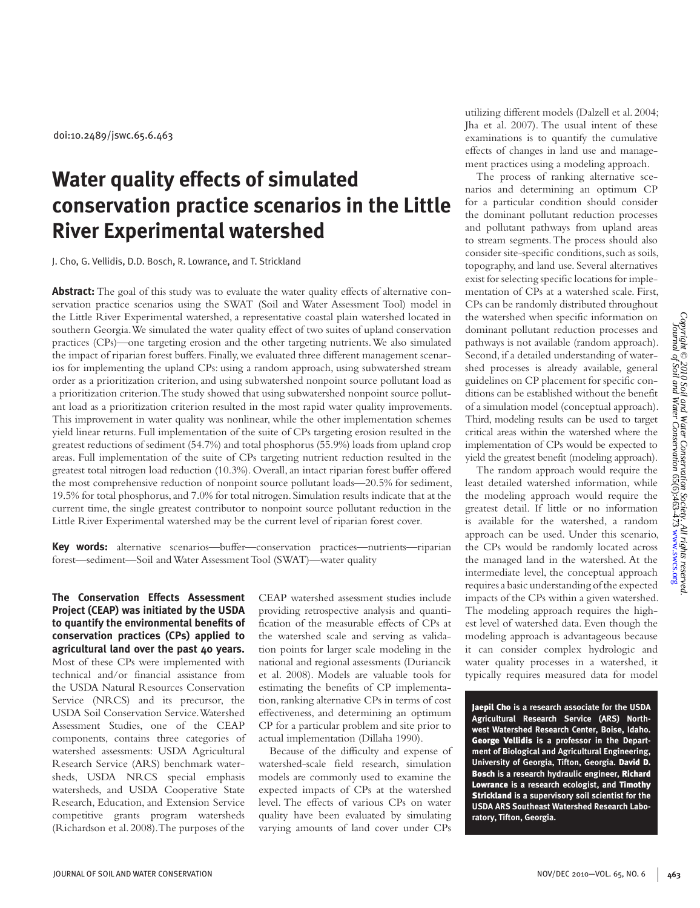doi:10.2489/jswc.65.6.463

# **Water quality effects of simulated conservation practice scenarios in the Little River Experimental watershed**

J. Cho, G. Vellidis, D.D. Bosch, R. Lowrance, and T. Strickland

**Abstract:** The goal of this study was to evaluate the water quality effects of alternative conservation practice scenarios using the SWAT (Soil and Water Assessment Tool) model in the Little River Experimental watershed, a representative coastal plain watershed located in southern Georgia. We simulated the water quality effect of two suites of upland conservation practices (CPs)—one targeting erosion and the other targeting nutrients. We also simulated the impact of riparian forest buffers. Finally, we evaluated three different management scenarios for implementing the upland CPs: using a random approach, using subwatershed stream order as a prioritization criterion, and using subwatershed nonpoint source pollutant load as a prioritization criterion. The study showed that using subwatershed nonpoint source pollutant load as a prioritization criterion resulted in the most rapid water quality improvements. This improvement in water quality was nonlinear, while the other implementation schemes yield linear returns. Full implementation of the suite of CPs targeting erosion resulted in the greatest reductions of sediment (54.7%) and total phosphorus (55.9%) loads from upland crop areas. Full implementation of the suite of CPs targeting nutrient reduction resulted in the greatest total nitrogen load reduction (10.3%). Overall, an intact riparian forest buffer offered the most comprehensive reduction of nonpoint source pollutant loads—20.5% for sediment, 19.5% for total phosphorus, and 7.0% for total nitrogen. Simulation results indicate that at the current time, the single greatest contributor to nonpoint source pollutant reduction in the Little River Experimental watershed may be the current level of riparian forest cover.

**Key words:** alternative scenarios—buffer—conservation practices—nutrients—riparian forest—sediment—Soil and Water Assessment Tool (SWAT)—water quality

**The Conservation Effects Assessment Project (CEAP) was initiated by the USDA to quantify the environmental benefits of conservation practices (CPs) applied to agricultural land over the past 40 years.** Most of these CPs were implemented with technical and/or financial assistance from the USDA Natural Resources Conservation Service (NRCS) and its precursor, the USDA Soil Conservation Service. Watershed Assessment Studies, one of the CEAP components, contains three categories of watershed assessments: USDA Agricultural Research Service (ARS) benchmark watersheds, USDA NRCS special emphasis watersheds, and USDA Cooperative State Research, Education, and Extension Service competitive grants program watersheds (Richardson et al. 2008). The purposes of the

CEAP watershed assessment studies include providing retrospective analysis and quantification of the measurable effects of CPs at the watershed scale and serving as validation points for larger scale modeling in the national and regional assessments (Duriancik et al. 2008). Models are valuable tools for estimating the benefits of CP implementation, ranking alternative CPs in terms of cost effectiveness, and determining an optimum CP for a particular problem and site prior to actual implementation (Dillaha 1990).

Because of the difficulty and expense of watershed-scale field research, simulation models are commonly used to examine the expected impacts of CPs at the watershed level. The effects of various CPs on water quality have been evaluated by simulating varying amounts of land cover under CPs

utilizing different models (Dalzell et al. 2004; Jha et al. 2007). The usual intent of these examinations is to quantify the cumulative effects of changes in land use and management practices using a modeling approach.

The process of ranking alternative scenarios and determining an optimum CP for a particular condition should consider the dominant pollutant reduction processes and pollutant pathways from upland areas to stream segments. The process should also consider site-specific conditions, such as soils, topography, and land use. Several alternatives exist for selecting specific locations for implementation of CPs at a watershed scale. First, CPs can be randomly distributed throughout the watershed when specific information on dominant pollutant reduction processes and pathways is not available (random approach). Second, if a detailed understanding of watershed processes is already available, general guidelines on CP placement for specific conditions can be established without the benefit of a simulation model (conceptual approach). Third, modeling results can be used to target critical areas within the watershed where the implementation of CPs would be expected to yield the greatest benefit (modeling approach).

The random approach would require the least detailed watershed information, while the modeling approach would require the greatest detail. If little or no information is available for the watershed, a random approach can be used. Under this scenario, the CPs would be randomly located across the managed land in the watershed. At the intermediate level, the conceptual approach requires a basic understanding of the expected impacts of the CPs within a given watershed. The modeling approach requires the highest level of watershed data. Even though the modeling approach is advantageous because it can consider complex hydrologic and water quality processes in a watershed, it typically requires measured data for model

Jaepil Cho **is a research associate for the USDA Agricultural Research Service (ARS) Northwest Watershed Research Center, Boise, Idaho.**  George Vellidis **is a professor in the Department of Biological and Agricultural Engineering, University of Georgia, Tifton, Georgia.** David D. Bosch **is a research hydraulic engineer,** Richard Lowrance **is a research ecologist, and** Timothy Strickland **is a supervisory soil scientist for the USDA ARS Southeast Watershed Research Laboratory, Tifton, Georgia.**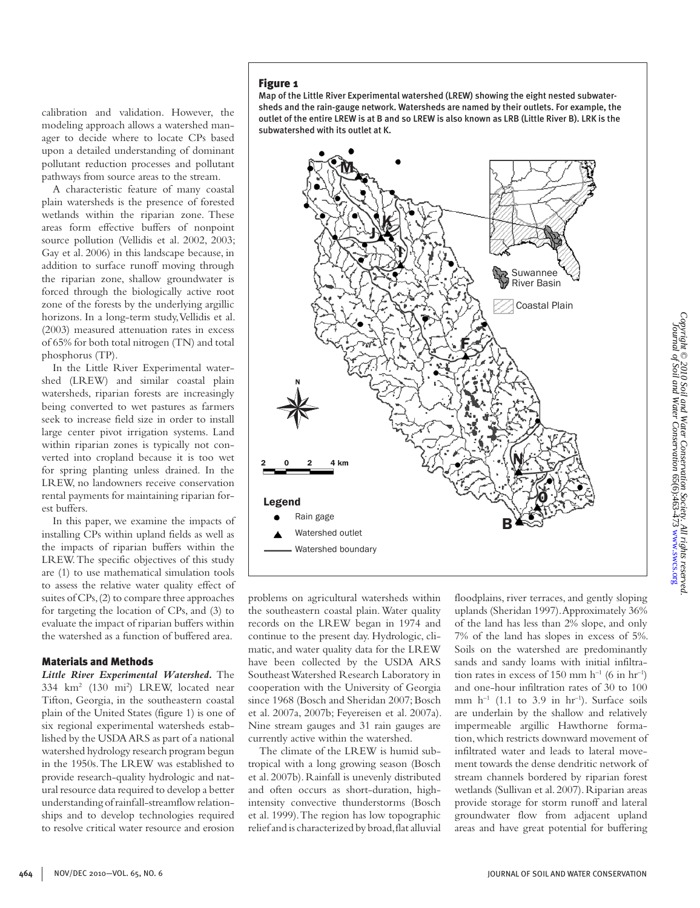calibration and validation. However, the modeling approach allows a watershed manager to decide where to locate CPs based upon a detailed understanding of dominant pollutant reduction processes and pollutant pathways from source areas to the stream.

A characteristic feature of many coastal plain watersheds is the presence of forested wetlands within the riparian zone. These areas form effective buffers of nonpoint source pollution (Vellidis et al. 2002, 2003; Gay et al. 2006) in this landscape because, in addition to surface runoff moving through the riparian zone, shallow groundwater is forced through the biologically active root zone of the forests by the underlying argillic horizons. In a long-term study, Vellidis et al. (2003) measured attenuation rates in excess of 65% for both total nitrogen (TN) and total phosphorus (TP).

In the Little River Experimental watershed (LREW) and similar coastal plain watersheds, riparian forests are increasingly being converted to wet pastures as farmers seek to increase field size in order to install large center pivot irrigation systems. Land within riparian zones is typically not converted into cropland because it is too wet for spring planting unless drained. In the LREW, no landowners receive conservation rental payments for maintaining riparian forest buffers.

In this paper, we examine the impacts of installing CPs within upland fields as well as the impacts of riparian buffers within the LREW. The specific objectives of this study are (1) to use mathematical simulation tools to assess the relative water quality effect of suites of CPs, (2) to compare three approaches for targeting the location of CPs, and (3) to evaluate the impact of riparian buffers within the watershed as a function of buffered area.

#### Materials and Methods

*Little River Experimental Watershed.* The 334 km2 (130 mi2 ) LREW, located near Tifton, Georgia, in the southeastern coastal plain of the United States (figure 1) is one of six regional experimental watersheds established by the USDA ARS as part of a national watershed hydrology research program begun in the 1950s. The LREW was established to provide research-quality hydrologic and natural resource data required to develop a better understanding of rainfall-streamflow relationships and to develop technologies required to resolve critical water resource and erosion

#### Figure 1

Map of the Little River Experimental watershed (LREW) showing the eight nested subwatersheds and the rain-gauge network. Watersheds are named by their outlets. For example, the outlet of the entire LREW is at B and so LREW is also known as LRB (Little River B). LRK is the subwatershed with its outlet at K.



problems on agricultural watersheds within the southeastern coastal plain. Water quality records on the LREW began in 1974 and continue to the present day. Hydrologic, climatic, and water quality data for the LREW have been collected by the USDA ARS Southeast Watershed Research Laboratory in cooperation with the University of Georgia since 1968 (Bosch and Sheridan 2007; Bosch et al. 2007a, 2007b; Feyereisen et al. 2007a). Nine stream gauges and 31 rain gauges are currently active within the watershed.

The climate of the LREW is humid subtropical with a long growing season (Bosch et al. 2007b). Rainfall is unevenly distributed and often occurs as short-duration, highintensity convective thunderstorms (Bosch et al. 1999). The region has low topographic relief and is characterized by broad, flat alluvial

floodplains, river terraces, and gently sloping uplands (Sheridan 1997). Approximately 36% of the land has less than 2% slope, and only 7% of the land has slopes in excess of 5%. Soils on the watershed are predominantly sands and sandy loams with initial infiltration rates in excess of 150 mm  $h^{-1}$  (6 in  $hr^{-1}$ ) and one-hour infiltration rates of 30 to 100 mm  $h^{-1}$  (1.1 to 3.9 in  $hr^{-1}$ ). Surface soils are underlain by the shallow and relatively impermeable argillic Hawthorne formation, which restricts downward movement of infiltrated water and leads to lateral movement towards the dense dendritic network of stream channels bordered by riparian forest wetlands (Sullivan et al. 2007). Riparian areas provide storage for storm runoff and lateral groundwater flow from adjacent upland areas and have great potential for buffering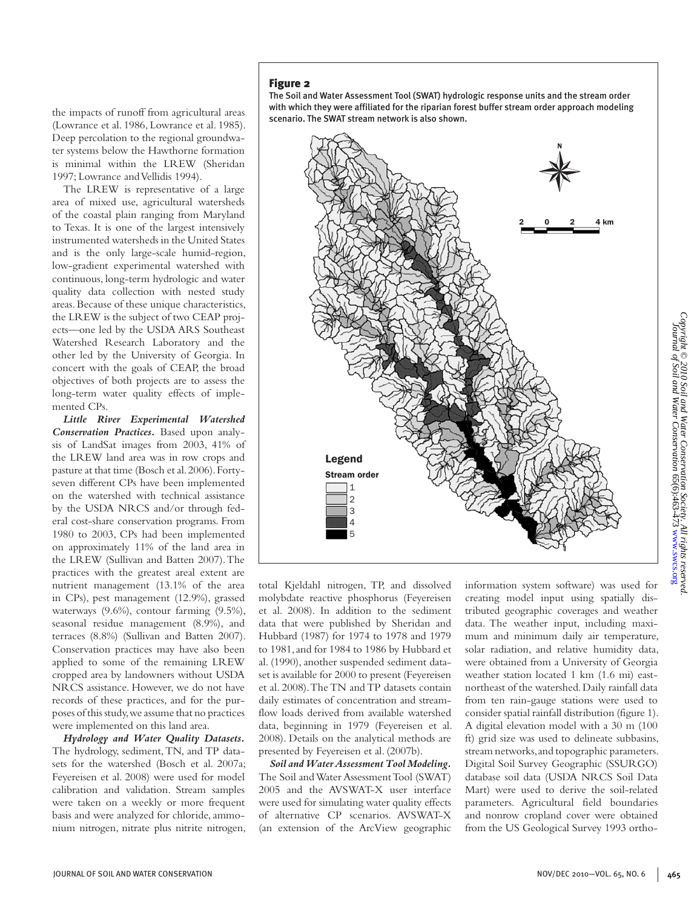The Soil and Water Assessment Tool (SWAT) hydrologic response units and the stream order with which they were affiliated for the riparian forest buffer stream order approach modeling scenario. The SWAT stream network is also shown.



total Kjeldahl nitrogen, TP, and dissolved molybdate reactive phosphorus (Feyereisen et al. 2008). In addition to the sediment data that were published by Sheridan and Hubbard (1987) for 1974 to 1978 and 1979 to 1981, and for 1984 to 1986 by Hubbard et al. (1990), another suspended sediment dataset is available for 2000 to present (Feyereisen et al. 2008). The TN and TP datasets contain daily estimates of concentration and streamflow loads derived from available watershed data, beginning in 1979 (Feyereisen et al. 2008). Details on the analytical methods are presented by Feyereisen et al. (2007b). *Soil and Water Assessment Tool Modeling.*

The Soil and Water Assessment Tool (SWAT) 2005 and the AVSWAT-X user interface were used for simulating water quality effects of alternative CP scenarios. AVSWAT-X (an extension of the ArcView geographic information system software) was used for creating model input using spatially distributed geographic coverages and weather data. The weather input, including maximum and minimum daily air temperature, solar radiation, and relative humidity data, were obtained from a University of Georgia weather station located 1 km (1.6 mi) eastnortheast of the watershed. Daily rainfall data from ten rain-gauge stations were used to consider spatial rainfall distribution (figure 1). A digital elevation model with a 30 m (100 ft) grid size was used to delineate subbasins, stream networks, and topographic parameters. Digital Soil Survey Geographic (SSURGO) database soil data (USDA NRCS Soil Data Mart) were used to derive the soil-related parameters. Agricultural field boundaries and nonrow cropland cover were obtained from the US Geological Survey 1993 ortho-

the impacts of runoff from agricultural areas (Lowrance et al. 1986, Lowrance et al. 1985). Deep percolation to the regional groundwater systems below the Hawthorne formation is minimal within the LREW (Sheridan 1997; Lowrance and Vellidis 1994).

The LREW is representative of a large area of mixed use, agricultural watersheds of the coastal plain ranging from Maryland to Texas. It is one of the largest intensively instrumented watersheds in the United States and is the only large-scale humid-region, low-gradient experimental watershed with continuous, long-term hydrologic and water quality data collection with nested study areas. Because of these unique characteristics, the LREW is the subject of two CEAP projects—one led by the USDA ARS Southeast Watershed Research Laboratory and the other led by the University of Georgia. In concert with the goals of CEAP, the broad objectives of both projects are to assess the long-term water quality effects of implemented CPs.

*Little River Experimental Watershed Conservation Practices.* Based upon analysis of LandSat images from 2003, 41% of the LREW land area was in row crops and pasture at that time (Bosch et al. 2006). Fortyseven different CPs have been implemented on the watershed with technical assistance by the USDA NRCS and/or through federal cost-share conservation programs. From 1980 to 2003, CPs had been implemented on approximately 11% of the land area in the LREW (Sullivan and Batten 2007). The practices with the greatest areal extent are nutrient management (13.1% of the area in CPs), pest management (12.9%), grassed waterways (9.6%), contour farming (9.5%), seasonal residue management (8.9%), and terraces (8.8%) (Sullivan and Batten 2007). Conservation practices may have also been applied to some of the remaining LREW cropped area by landowners without USDA NRCS assistance. However, we do not have records of these practices, and for the purposes of this study, we assume that no practices were implemented on this land area.

*Hydrology and Water Quality Datasets.*  The hydrology, sediment, TN, and TP datasets for the watershed (Bosch et al. 2007a; Feyereisen et al. 2008) were used for model calibration and validation. Stream samples were taken on a weekly or more frequent basis and were analyzed for chloride, ammonium nitrogen, nitrate plus nitrite nitrogen,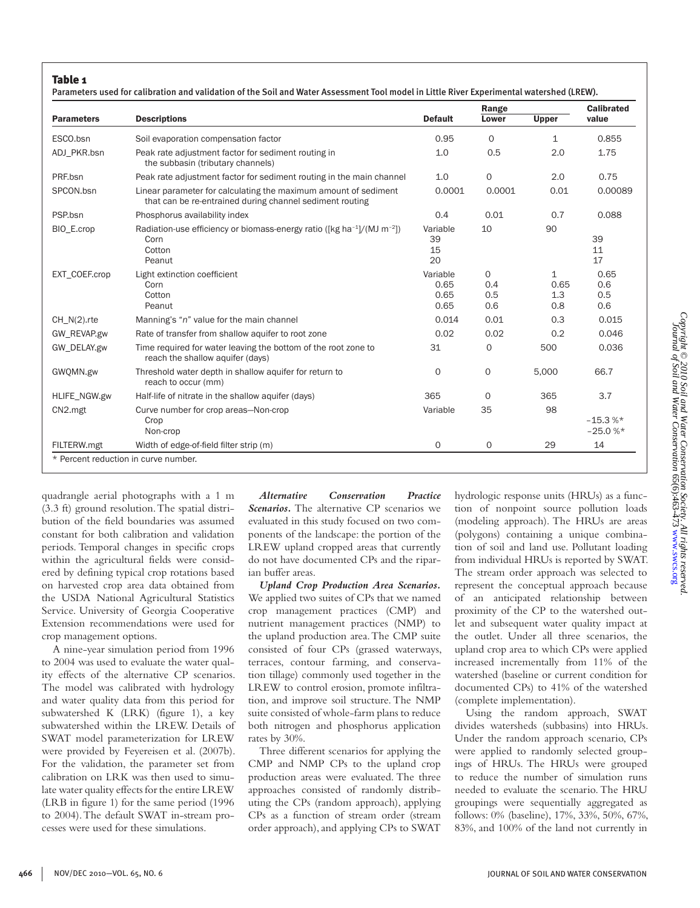|                   |                                                                                                                             |                                  | Range                         |                                    | <b>Calibrated</b>         |  |
|-------------------|-----------------------------------------------------------------------------------------------------------------------------|----------------------------------|-------------------------------|------------------------------------|---------------------------|--|
| <b>Parameters</b> | <b>Descriptions</b>                                                                                                         | <b>Default</b>                   | Lower                         | <b>Upper</b>                       | value                     |  |
| ESCO.bsn          | Soil evaporation compensation factor                                                                                        | 0.95                             | $\Omega$                      | 1                                  | 0.855                     |  |
| ADJ PKR.bsn       | Peak rate adjustment factor for sediment routing in<br>the subbasin (tributary channels)                                    | 1.0                              | 0.5                           | 2.0                                | 1.75                      |  |
| PRF.bsn           | Peak rate adjustment factor for sediment routing in the main channel                                                        | 1.0                              | $\circ$                       | 2.0                                | 0.75                      |  |
| SPCON.bsn         | Linear parameter for calculating the maximum amount of sediment<br>that can be re-entrained during channel sediment routing | 0.0001                           | 0.0001                        | 0.01                               | 0.00089                   |  |
| PSP.bsn           | Phosphorus availability index                                                                                               | 0.4                              | 0.01                          | 0.7                                | 0.088                     |  |
| BIO E.crop        | Radiation-use efficiency or biomass-energy ratio ( $[kg \text{ ha}^{-1}]/(MJ \text{ m}^{-2}]$ )<br>Corn<br>Cotton<br>Peanut | Variable<br>39<br>15<br>20       | 10                            | 90                                 | 39<br>11<br>17            |  |
| EXT COEF.crop     | Light extinction coefficient<br>Corn<br>Cotton<br>Peanut                                                                    | Variable<br>0.65<br>0.65<br>0.65 | $\Omega$<br>0.4<br>0.5<br>0.6 | $\mathbf{1}$<br>0.65<br>1.3<br>0.8 | 0.65<br>0.6<br>0.5<br>0.6 |  |
| CH $N(2)$ .rte    | Manning's "n" value for the main channel                                                                                    | 0.014                            | 0.01                          | 0.3                                | 0.015                     |  |
| GW REVAP.gw       | Rate of transfer from shallow aquifer to root zone                                                                          | 0.02                             | 0.02                          | 0.2                                | 0.046                     |  |
| GW DELAY.gw       | Time required for water leaving the bottom of the root zone to<br>reach the shallow aquifer (days)                          | 31                               | 0                             | 500                                | 0.036                     |  |
| GWOMN.gw          | Threshold water depth in shallow aquifer for return to<br>reach to occur (mm)                                               | $\mathbf 0$                      | $\circ$                       | 5,000                              | 66.7                      |  |
| HLIFE NGW.gw      | Half-life of nitrate in the shallow aquifer (days)                                                                          | 365                              | $\Omega$                      | 365                                | 3.7                       |  |
| CN2.mgt           | Curve number for crop areas-Non-crop<br>Crop<br>Non-crop                                                                    | Variable                         | 35                            | 98                                 | $-15.3%$<br>$-25.0%$      |  |
| FILTERW.mgt       | Width of edge-of-field filter strip (m)                                                                                     | $\circ$                          | 0                             | 29                                 | 14                        |  |

quadrangle aerial photographs with a 1 m (3.3 ft) ground resolution. The spatial distribution of the field boundaries was assumed constant for both calibration and validation periods. Temporal changes in specific crops within the agricultural fields were considered by defining typical crop rotations based on harvested crop area data obtained from the USDA National Agricultural Statistics Service. University of Georgia Cooperative Extension recommendations were used for crop management options.

A nine-year simulation period from 1996 to 2004 was used to evaluate the water quality effects of the alternative CP scenarios. The model was calibrated with hydrology and water quality data from this period for subwatershed K (LRK) (figure 1), a key subwatershed within the LREW. Details of SWAT model parameterization for LREW were provided by Feyereisen et al. (2007b). For the validation, the parameter set from calibration on LRK was then used to simulate water quality effects for the entire LREW (LRB in figure 1) for the same period (1996 to 2004). The default SWAT in-stream processes were used for these simulations.

*Alternative Conservation Practice Scenarios.* The alternative CP scenarios we evaluated in this study focused on two components of the landscape: the portion of the LREW upland cropped areas that currently do not have documented CPs and the riparian buffer areas.

*Upland Crop Production Area Scenarios.* We applied two suites of CPs that we named crop management practices (CMP) and nutrient management practices (NMP) to the upland production area. The CMP suite consisted of four CPs (grassed waterways, terraces, contour farming, and conservation tillage) commonly used together in the LREW to control erosion, promote infiltration, and improve soil structure. The NMP suite consisted of whole-farm plans to reduce both nitrogen and phosphorus application rates by 30%.

Three different scenarios for applying the CMP and NMP CPs to the upland crop production areas were evaluated. The three approaches consisted of randomly distributing the CPs (random approach), applying CPs as a function of stream order (stream order approach), and applying CPs to SWAT

hydrologic response units (HRUs) as a function of nonpoint source pollution loads (modeling approach). The HRUs are areas (polygons) containing a unique combination of soil and land use. Pollutant loading from individual HRUs is reported by SWAT. The stream order approach was selected to represent the conceptual approach because of an anticipated relationship between proximity of the CP to the watershed outlet and subsequent water quality impact at the outlet. Under all three scenarios, the upland crop area to which CPs were applied increased incrementally from 11% of the watershed (baseline or current condition for documented CPs) to 41% of the watershed (complete implementation).

Using the random approach, SWAT divides watersheds (subbasins) into HRUs. Under the random approach scenario, CPs were applied to randomly selected groupings of HRUs. The HRUs were grouped to reduce the number of simulation runs needed to evaluate the scenario. The HRU groupings were sequentially aggregated as follows: 0% (baseline), 17%, 33%, 50%, 67%, 83%, and 100% of the land not currently in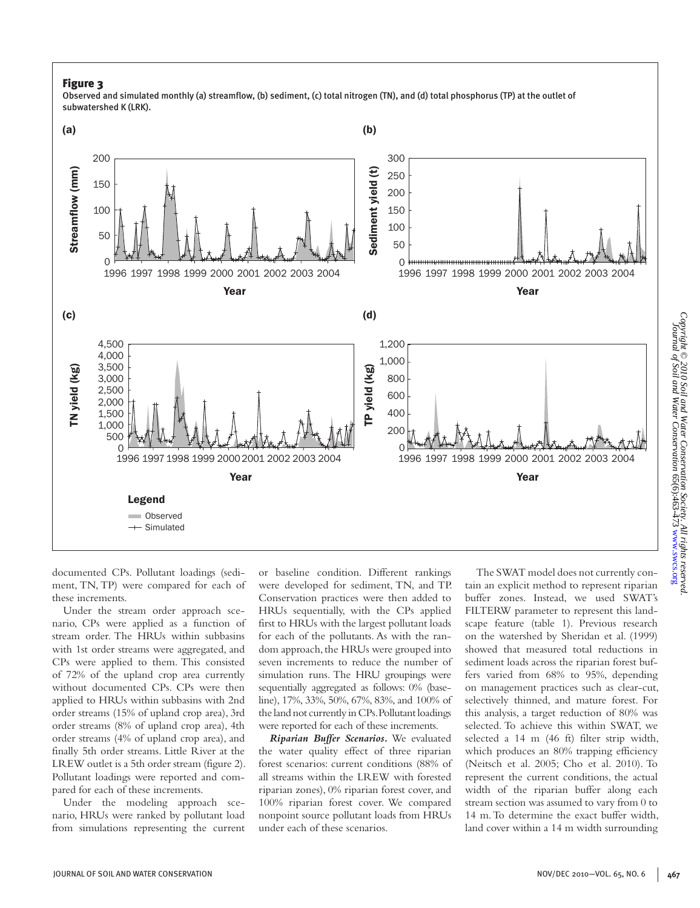Observed and simulated monthly (a) streamflow, (b) sediment, (c) total nitrogen (TN), and (d) total phosphorus (TP) at the outlet of subwatershed K (LRK).



Copyright © 2010 Soil and Water Conservation Society. All rights reserved<br>Journal of Soil and Water Conservation 65(6):463-473 www.swcs.org *Copyright © 2010 Soil and Water Conservation Society. All rights reserved.* Journal of Soil and Water Conservation 65(6):463-473 [www.swcs.org](http://www.swcs.org)

documented CPs. Pollutant loadings (sediment, TN, TP) were compared for each of these increments.

Under the stream order approach scenario, CPs were applied as a function of stream order. The HRUs within subbasins with 1st order streams were aggregated, and CPs were applied to them. This consisted of 72% of the upland crop area currently without documented CPs. CPs were then applied to HRUs within subbasins with 2nd order streams (15% of upland crop area), 3rd order streams (8% of upland crop area), 4th order streams (4% of upland crop area), and finally 5th order streams. Little River at the LREW outlet is a 5th order stream (figure 2). Pollutant loadings were reported and compared for each of these increments.

Under the modeling approach scenario, HRUs were ranked by pollutant load from simulations representing the current or baseline condition. Different rankings were developed for sediment, TN, and TP. Conservation practices were then added to HRUs sequentially, with the CPs applied first to HRUs with the largest pollutant loads for each of the pollutants. As with the random approach, the HRUs were grouped into seven increments to reduce the number of simulation runs. The HRU groupings were sequentially aggregated as follows: 0% (baseline), 17%, 33%, 50%, 67%, 83%, and 100% of the land not currently in CPs. Pollutant loadings were reported for each of these increments.

*Riparian Buffer Scenarios.* We evaluated the water quality effect of three riparian forest scenarios: current conditions (88% of all streams within the LREW with forested riparian zones), 0% riparian forest cover, and 100% riparian forest cover. We compared nonpoint source pollutant loads from HRUs under each of these scenarios.

The SWAT model does not currently contain an explicit method to represent riparian buffer zones. Instead, we used SWAT's FILTERW parameter to represent this landscape feature (table 1). Previous research on the watershed by Sheridan et al. (1999) showed that measured total reductions in sediment loads across the riparian forest buffers varied from 68% to 95%, depending on management practices such as clear-cut, selectively thinned, and mature forest. For this analysis, a target reduction of 80% was selected. To achieve this within SWAT, we selected a 14 m (46 ft) filter strip width, which produces an 80% trapping efficiency (Neitsch et al. 2005; Cho et al. 2010). To represent the current conditions, the actual width of the riparian buffer along each stream section was assumed to vary from 0 to 14 m. To determine the exact buffer width, land cover within a 14 m width surrounding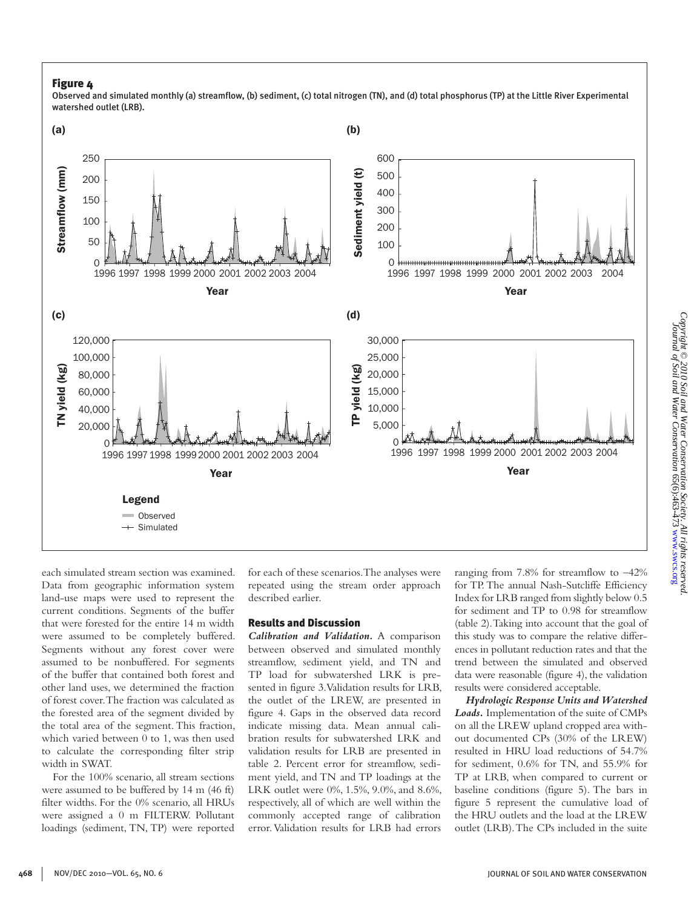Observed and simulated monthly (a) streamflow, (b) sediment, (c) total nitrogen (TN), and (d) total phosphorus (TP) at the Little River Experimental watershed outlet (LRB).



Copyright © 2010 Soil and Water Conservation Society. All rights reserved<br>Journal of Soil and Water Conservation 65(6):463-473 www.swcs.org *Copyright © 2010 Soil and Water Conservation Society. All rights reserved.* Journal of Soil and Water Conservation 65(6):463-473 [www.swcs.org](http://www.swcs.org)

each simulated stream section was examined. Data from geographic information system land-use maps were used to represent the current conditions. Segments of the buffer that were forested for the entire 14 m width were assumed to be completely buffered. Segments without any forest cover were assumed to be nonbuffered. For segments of the buffer that contained both forest and other land uses, we determined the fraction of forest cover. The fraction was calculated as the forested area of the segment divided by the total area of the segment. This fraction, which varied between 0 to 1, was then used to calculate the corresponding filter strip width in SWAT.

For the 100% scenario, all stream sections were assumed to be buffered by 14 m (46 ft) filter widths. For the 0% scenario, all HRUs were assigned a 0 m FILTERW. Pollutant loadings (sediment, TN, TP) were reported for each of these scenarios. The analyses were repeated using the stream order approach described earlier.

#### Results and Discussion

*Calibration and Validation.* A comparison between observed and simulated monthly streamflow, sediment yield, and TN and TP load for subwatershed LRK is presented in figure 3. Validation results for LRB, the outlet of the LREW, are presented in figure 4. Gaps in the observed data record indicate missing data. Mean annual calibration results for subwatershed LRK and validation results for LRB are presented in table 2. Percent error for streamflow, sediment yield, and TN and TP loadings at the LRK outlet were 0%, 1.5%, 9.0%, and 8.6%, respectively, all of which are well within the commonly accepted range of calibration error. Validation results for LRB had errors

ranging from 7.8% for streamflow to –42% for TP. The annual Nash-Sutcliffe Efficiency Index for LRB ranged from slightly below 0.5 for sediment and TP to 0.98 for streamflow (table 2). Taking into account that the goal of this study was to compare the relative differences in pollutant reduction rates and that the trend between the simulated and observed data were reasonable (figure 4), the validation results were considered acceptable.

*Hydrologic Response Units and Watershed Loads.* Implementation of the suite of CMPs on all the LREW upland cropped area without documented CPs (30% of the LREW) resulted in HRU load reductions of 54.7% for sediment, 0.6% for TN, and 55.9% for TP at LRB, when compared to current or baseline conditions (figure 5). The bars in figure 5 represent the cumulative load of the HRU outlets and the load at the LREW outlet (LRB). The CPs included in the suite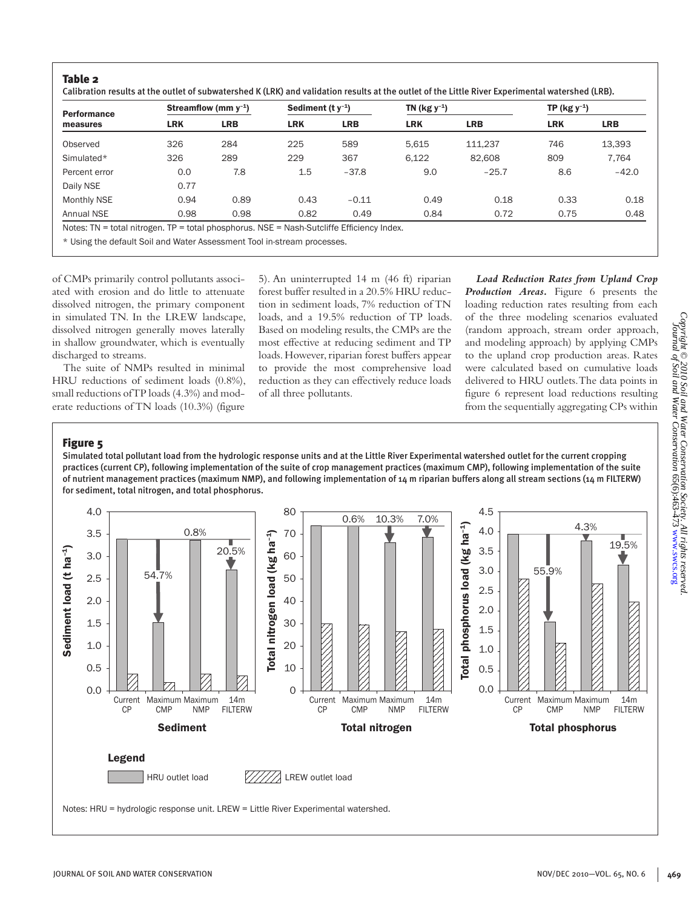| <b>Performance</b><br>measures | Streamflow (mm $y^{-1}$ ) |            | Sediment (t $y^{-1}$ ) |            | <b>TN</b> (kg $y^{-1}$ ) |            | <b>TP</b> (kg $y^{-1}$ ) |         |
|--------------------------------|---------------------------|------------|------------------------|------------|--------------------------|------------|--------------------------|---------|
|                                | <b>LRK</b>                | <b>LRB</b> | LRK                    | <b>LRB</b> | <b>LRK</b>               | <b>LRB</b> | <b>LRK</b>               | LRB     |
| Observed                       | 326                       | 284        | 225                    | 589        | 5.615                    | 111.237    | 746                      | 13,393  |
| Simulated*                     | 326                       | 289        | 229                    | 367        | 6.122                    | 82,608     | 809                      | 7.764   |
| Percent error                  | 0.0                       | 7.8        | 1.5                    | $-37.8$    | 9.0                      | $-25.7$    | 8.6                      | $-42.0$ |
| Daily NSE                      | 0.77                      |            |                        |            |                          |            |                          |         |
| Monthly NSE                    | 0.94                      | 0.89       | 0.43                   | $-0.11$    | 0.49                     | 0.18       | 0.33                     | 0.18    |
| Annual NSE                     | 0.98                      | 0.98       | 0.82                   | 0.49       | 0.84                     | 0.72       | 0.75                     | 0.48    |

\* Using the default Soil and Water Assessment Tool in-stream processes.

of CMPs primarily control pollutants associated with erosion and do little to attenuate dissolved nitrogen, the primary component in simulated TN. In the LREW landscape, dissolved nitrogen generally moves laterally in shallow groundwater, which is eventually discharged to streams.

The suite of NMPs resulted in minimal HRU reductions of sediment loads (0.8%), small reductions of TP loads (4.3%) and moderate reductions of TN loads (10.3%) (figure

5). An uninterrupted 14 m (46 ft) riparian forest buffer resulted in a 20.5% HRU reduction in sediment loads, 7% reduction of TN loads, and a 19.5% reduction of TP loads. Based on modeling results, the CMPs are the most effective at reducing sediment and TP loads. However, riparian forest buffers appear to provide the most comprehensive load reduction as they can effectively reduce loads of all three pollutants.

*Load Reduction Rates from Upland Crop Production Areas.* Figure 6 presents the loading reduction rates resulting from each of the three modeling scenarios evaluated (random approach, stream order approach, and modeling approach) by applying CMPs to the upland crop production areas. Rates were calculated based on cumulative loads delivered to HRU outlets. The data points in figure 6 represent load reductions resulting from the sequentially aggregating CPs within

## Figure 5

Table 2

Simulated total pollutant load from the hydrologic response units and at the Little River Experimental watershed outlet for the current cropping practices (current CP), following implementation of the suite of crop management practices (maximum CMP), following implementation of the suite of nutrient management practices (maximum NMP), and following implementation of 14 m riparian buffers along all stream sections (14 m FILTERW) for sediment, total nitrogen, and total phosphorus.

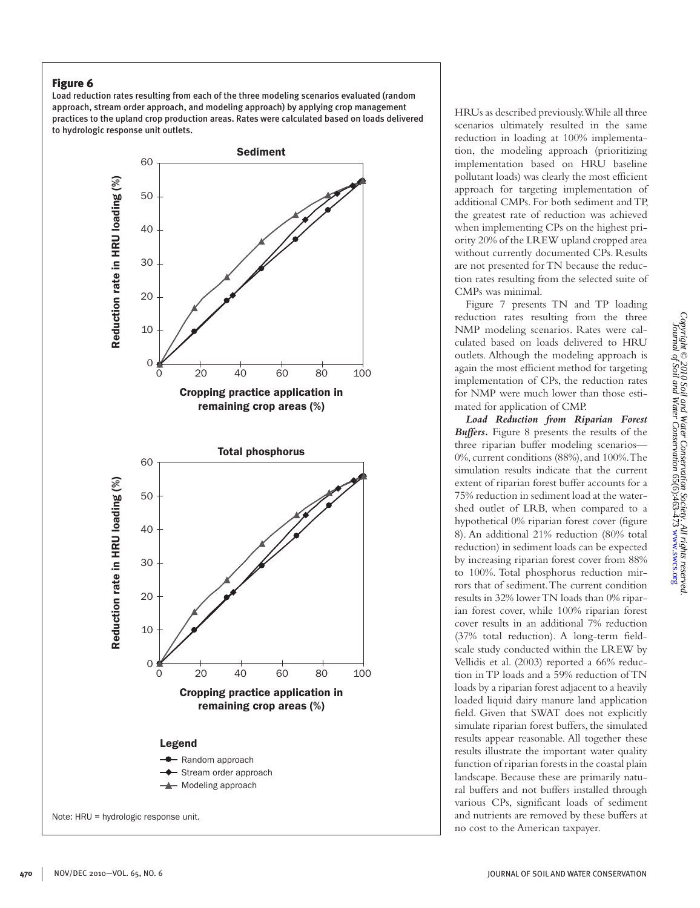Load reduction rates resulting from each of the three modeling scenarios evaluated (random approach, stream order approach, and modeling approach) by applying crop management practices to the upland crop production areas. Rates were calculated based on loads delivered to hydrologic response unit outlets.



HRUs as described previously. While all three scenarios ultimately resulted in the same reduction in loading at 100% implementation, the modeling approach (prioritizing implementation based on HRU baseline pollutant loads) was clearly the most efficient approach for targeting implementation of additional CMPs. For both sediment and TP, the greatest rate of reduction was achieved when implementing CPs on the highest priority 20% of the LREW upland cropped area without currently documented CPs. Results are not presented for TN because the reduction rates resulting from the selected suite of CMPs was minimal.

Figure 7 presents TN and TP loading reduction rates resulting from the three NMP modeling scenarios. Rates were calculated based on loads delivered to HRU outlets. Although the modeling approach is again the most efficient method for targeting implementation of CPs, the reduction rates for NMP were much lower than those estimated for application of CMP.

*Load Reduction from Riparian Forest Buffers.* Figure 8 presents the results of the three riparian buffer modeling scenarios— 0%, current conditions (88%), and 100%. The simulation results indicate that the current extent of riparian forest buffer accounts for a 75% reduction in sediment load at the watershed outlet of LRB, when compared to a hypothetical 0% riparian forest cover (figure 8). An additional 21% reduction (80% total reduction) in sediment loads can be expected by increasing riparian forest cover from 88% to 100%. Total phosphorus reduction mirrors that of sediment. The current condition results in 32% lower TN loads than 0% riparian forest cover, while 100% riparian forest cover results in an additional 7% reduction (37% total reduction). A long-term fieldscale study conducted within the LREW by Vellidis et al. (2003) reported a 66% reduction in TP loads and a 59% reduction of TN loads by a riparian forest adjacent to a heavily loaded liquid dairy manure land application field. Given that SWAT does not explicitly simulate riparian forest buffers, the simulated results appear reasonable. All together these results illustrate the important water quality function of riparian forests in the coastal plain landscape. Because these are primarily natural buffers and not buffers installed through various CPs, significant loads of sediment and nutrients are removed by these buffers at no cost to the American taxpayer.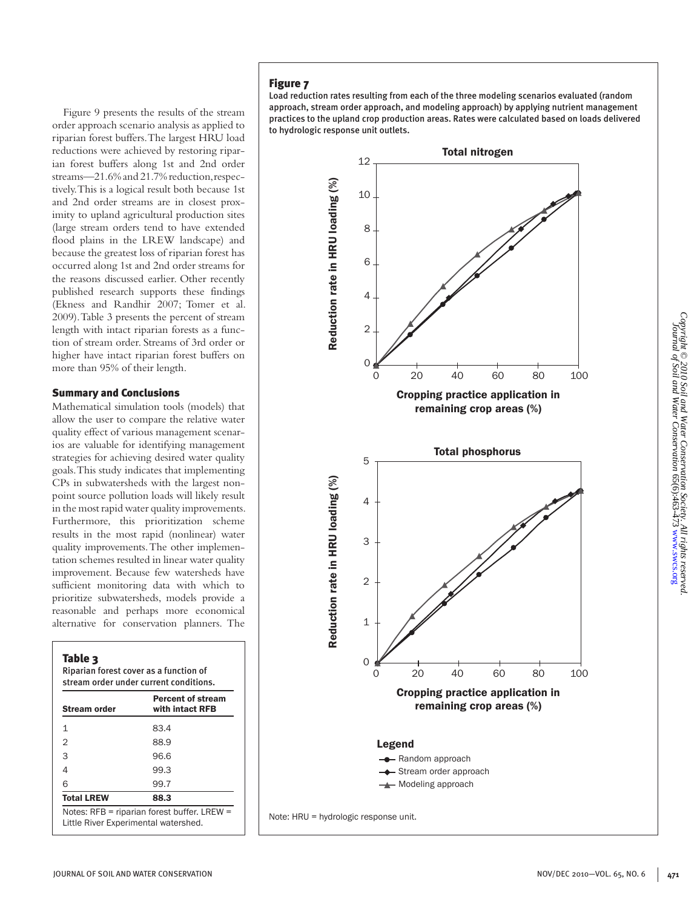Figure 9 presents the results of the stream order approach scenario analysis as applied to riparian forest buffers. The largest HRU load reductions were achieved by restoring riparian forest buffers along 1st and 2nd order streams—21.6% and 21.7% reduction, respectively. This is a logical result both because 1st and 2nd order streams are in closest proximity to upland agricultural production sites (large stream orders tend to have extended flood plains in the LREW landscape) and because the greatest loss of riparian forest has occurred along 1st and 2nd order streams for the reasons discussed earlier. Other recently published research supports these findings (Ekness and Randhir 2007; Tomer et al. 2009). Table 3 presents the percent of stream length with intact riparian forests as a function of stream order. Streams of 3rd order or higher have intact riparian forest buffers on more than 95% of their length.

## Summary and Conclusions

Mathematical simulation tools (models) that allow the user to compare the relative water quality effect of various management scenarios are valuable for identifying management strategies for achieving desired water quality goals. This study indicates that implementing CPs in subwatersheds with the largest nonpoint source pollution loads will likely result in the most rapid water quality improvements. Furthermore, this prioritization scheme results in the most rapid (nonlinear) water quality improvements. The other implementation schemes resulted in linear water quality improvement. Because few watersheds have sufficient monitoring data with which to prioritize subwatersheds, models provide a reasonable and perhaps more economical alternative for conservation planners. The

## Table 3

Riparian forest cover as a function of stream order under current conditions.

| <b>Stream order</b>                                                                 | <b>Percent of stream</b><br>with intact RFB |  |  |  |
|-------------------------------------------------------------------------------------|---------------------------------------------|--|--|--|
| 1                                                                                   | 83.4                                        |  |  |  |
| 2                                                                                   | 88.9                                        |  |  |  |
| 3                                                                                   | 96.6                                        |  |  |  |
|                                                                                     | 99.3                                        |  |  |  |
| 6                                                                                   | 99.7                                        |  |  |  |
| <b>Total LREW</b>                                                                   | 88.3                                        |  |  |  |
| Notes: RFB = riparian forest buffer. LREW =<br>Little River Experimental watershed. |                                             |  |  |  |

Load reduction rates resulting from each of the three modeling scenarios evaluated (random approach, stream order approach, and modeling approach) by applying nutrient management practices to the upland crop production areas. Rates were calculated based on loads delivered to hydrologic response unit outlets.

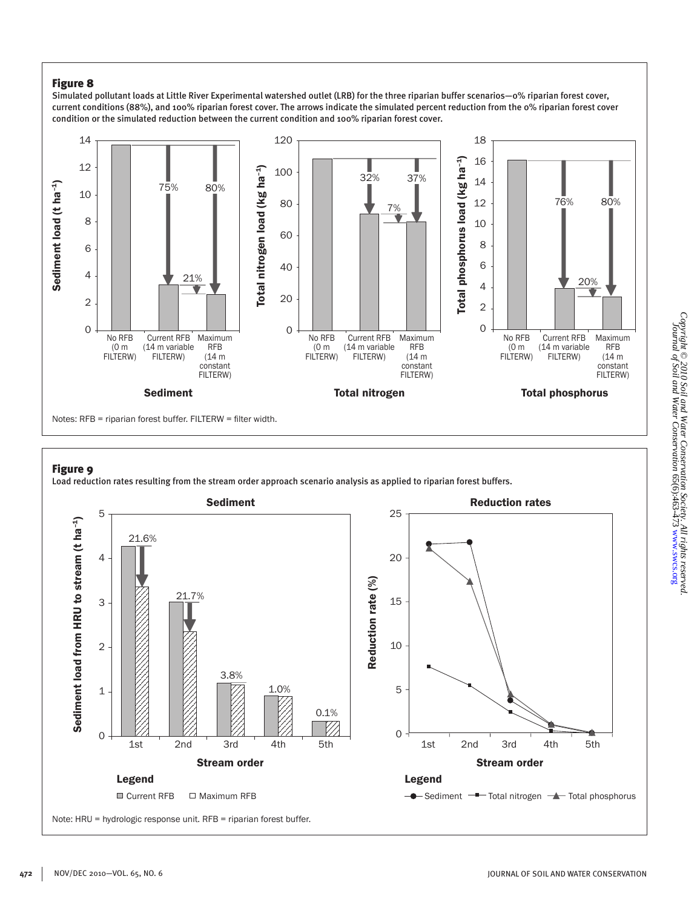

## Figure 9

Load reduction rates resulting from the stream order approach scenario analysis as applied to riparian forest buffers.